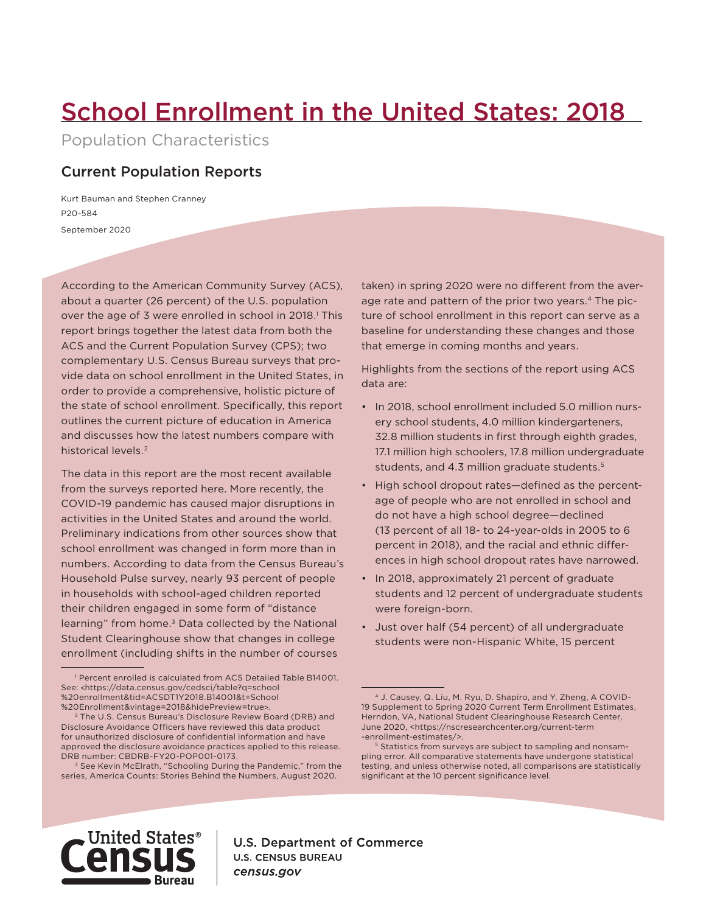# School Enrollment in the United States: 2018

Population Characteristics

## Current Population Reports

September 2020 P20-584 Kurt Bauman and Stephen Cranney

According to the American Community Survey (ACS), about a quarter (26 percent) of the U.S. population over the age of 3 were enrolled in school in 2018.<sup>1</sup> This report brings together the latest data from both the ACS and the Current Population Survey (CPS); two complementary U.S. Census Bureau surveys that provide data on school enrollment in the United States, in order to provide a comprehensive, holistic picture of the state of school enrollment. Specifically, this report outlines the current picture of education in America and discusses how the latest numbers compare with historical levels.<sup>2</sup>

The data in this report are the most recent available from the surveys reported here. More recently, the COVID-19 pandemic has caused major disruptions in activities in the United States and around the world. Preliminary indications from other sources show that school enrollment was changed in form more than in numbers. According to data from the Census Bureau's Household Pulse survey, nearly 93 percent of people in households with school-aged children reported their children engaged in some form of "distance  $learning$ " from home. $3$  Data collected by the National Student Clearinghouse show that changes in college enrollment (including shifts in the number of courses

<sup>3</sup> See Kevin McElrath, "Schooling During the Pandemic," from the series, America Counts: Stories Behind the Numbers, August 2020.

taken) in spring 2020 were no different from the average rate and pattern of the prior two years.<sup>4</sup> The picture of school enrollment in this report can serve as a baseline for understanding these changes and those that emerge in coming months and years.

Highlights from the sections of the report using ACS data are:

- In 2018, school enrollment included 5.0 million nursery school students, 4.0 million kindergarteners, 32.8 million students in first through eighth grades, 17.1 million high schoolers, 17.8 million undergraduate students, and 4.3 million graduate students.5
- High school dropout rates—defined as the percentage of people who are not enrolled in school and do not have a high school degree—declined (13 percent of all 18- to 24-year-olds in 2005 to 6 percent in 2018), and the racial and ethnic differences in high school dropout rates have narrowed.
- In 2018, approximately 21 percent of graduate students and 12 percent of undergraduate students were foreign-born.
- Just over half (54 percent) of all undergraduate students were non-Hispanic White, 15 percent



**U.S. Department of Commerce U.S. CENSUS BUREAU** census.gov

<sup>1</sup> Percent enrolled is calculated from ACS Detailed Table B14001. See: <https://data.census.gov/cedsci/table?q=school %20enrollment&tid=ACSDT1Y2018.B14001&t=School %20Enrollment&vintage=2018&hidePreview=true>.

<sup>2</sup> The U.S. Census Bureau's Disclosure Review Board (DRB) and Disclosure Avoidance Officers have reviewed this data product for unauthorized disclosure of confidential information and have approved the disclosure avoidance practices applied to this release. DRB number: CBDRB-FY20-POP001-0173.

<sup>4</sup> J. Causey, Q. Liu, M. Ryu, D. Shapiro, and Y. Zheng, A COVID-19 Supplement to Spring 2020 Current Term Enrollment Estimates, Herndon, VA, National Student Clearinghouse Research Center, June 2020, <https://nscresearchcenter.org/current-term -enrollment-estimates/>.

<sup>5</sup> Statistics from surveys are subject to sampling and nonsampling error. All comparative statements have undergone statistical testing, and unless otherwise noted, all comparisons are statistically significant at the 10 percent significance level.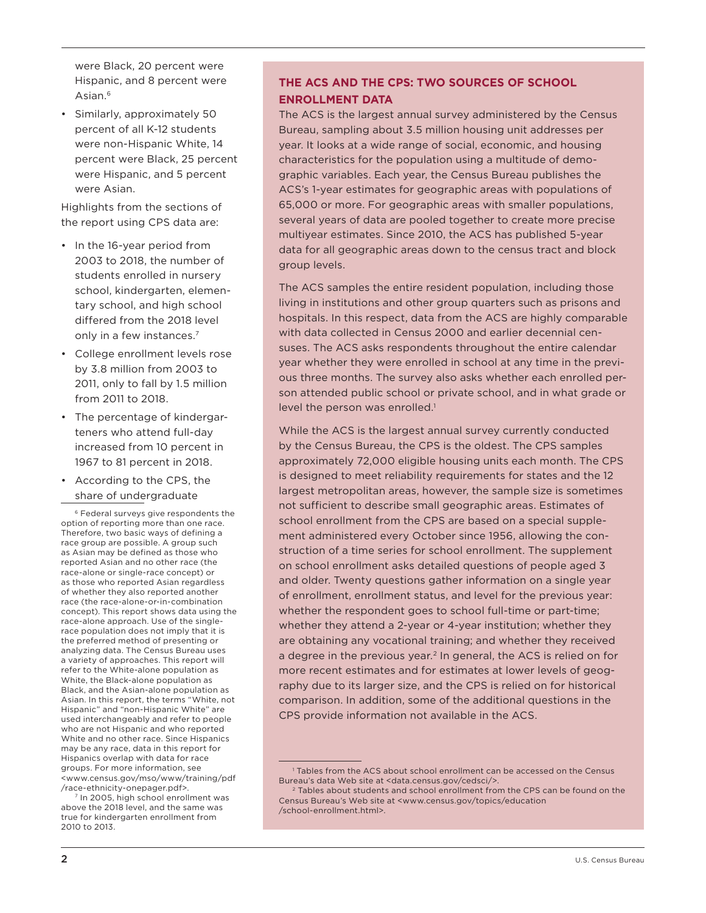were Black, 20 percent were Hispanic, and 8 percent were Asian.6

• Similarly, approximately 50 percent of all K-12 students were non-Hispanic White, 14 percent were Black, 25 percent were Hispanic, and 5 percent were Asian.

Highlights from the sections of the report using CPS data are:

- In the 16-year period from 2003 to 2018, the number of students enrolled in nursery school, kindergarten, elementary school, and high school differed from the 2018 level only in a few instances.<sup>7</sup>
- College enrollment levels rose by 3.8 million from 2003 to 2011, only to fall by 1.5 million from 2011 to 2018.
- The percentage of kindergarteners who attend full-day increased from 10 percent in 1967 to 81 percent in 2018.
- According to the CPS, the share of undergraduate

6 Federal surveys give respondents the option of reporting more than one race. Therefore, two basic ways of defining a race group are possible. A group such as Asian may be defined as those who reported Asian and no other race (the race-alone or single-race concept) or as those who reported Asian regardless of whether they also reported another race (the race-alone-or-in-combination concept). This report shows data using the race-alone approach. Use of the singlerace population does not imply that it is the preferred method of presenting or analyzing data. The Census Bureau uses a variety of approaches. This report will refer to the White-alone population as White, the Black-alone population as Black, and the Asian-alone population as Asian. In this report, the terms "White, not Hispanic" and "non-Hispanic White" are used interchangeably and refer to people who are not Hispanic and who reported White and no other race. Since Hispanics may be any race, data in this report for Hispanics overlap with data for race groups. For more information, see [<www.census.gov/mso/www/training/pdf](https://www.census.gov/mso/www/training/pdf/race-ethnicity-onepager.pdf) [/race-ethnicity-onepager.pdf>](https://www.census.gov/mso/www/training/pdf/race-ethnicity-onepager.pdf).

In 2005, high school enrollment was above the 2018 level, and the same was true for kindergarten enrollment from 2010 to 2013.

## **THE ACS AND THE CPS: TWO SOURCES OF SCHOOL ENROLLMENT DATA**

The ACS is the largest annual survey administered by the Census Bureau, sampling about 3.5 million housing unit addresses per year. It looks at a wide range of social, economic, and housing characteristics for the population using a multitude of demographic variables. Each year, the Census Bureau publishes the ACS's 1-year estimates for geographic areas with populations of 65,000 or more. For geographic areas with smaller populations, several years of data are pooled together to create more precise multiyear estimates. Since 2010, the ACS has published 5-year data for all geographic areas down to the census tract and block group levels.

The ACS samples the entire resident population, including those living in institutions and other group quarters such as prisons and hospitals. In this respect, data from the ACS are highly comparable with data collected in Census 2000 and earlier decennial censuses. The ACS asks respondents throughout the entire calendar year whether they were enrolled in school at any time in the previous three months. The survey also asks whether each enrolled person attended public school or private school, and in what grade or level the person was enrolled.<sup>1</sup>

While the ACS is the largest annual survey currently conducted by the Census Bureau, the CPS is the oldest. The CPS samples approximately 72,000 eligible housing units each month. The CPS is designed to meet reliability requirements for states and the 12 largest metropolitan areas, however, the sample size is sometimes not sufficient to describe small geographic areas. Estimates of school enrollment from the CPS are based on a special supplement administered every October since 1956, allowing the construction of a time series for school enrollment. The supplement on school enrollment asks detailed questions of people aged 3 and older. Twenty questions gather information on a single year of enrollment, enrollment status, and level for the previous year: whether the respondent goes to school full-time or part-time; whether they attend a 2-year or 4-year institution; whether they are obtaining any vocational training; and whether they received a degree in the previous year.<sup>2</sup> In general, the ACS is relied on for more recent estimates and for estimates at lower levels of geography due to its larger size, and the CPS is relied on for historical comparison. In addition, some of the additional questions in the CPS provide information not available in the ACS.

<sup>1</sup> Tables from the ACS about school enrollment can be accessed on the Census Bureau's data Web site at <[data.census.gov/cedsci/>](https://data.census.gov/cedsci/).

<sup>&</sup>lt;sup>2</sup> Tables about students and school enrollment from the CPS can be found on the Census Bureau's Web site at [<www.census.gov/topics/education](https://www.census.gov/topics/education/school-enrollment.html) [/school-enrollment.html>](https://www.census.gov/topics/education/school-enrollment.html).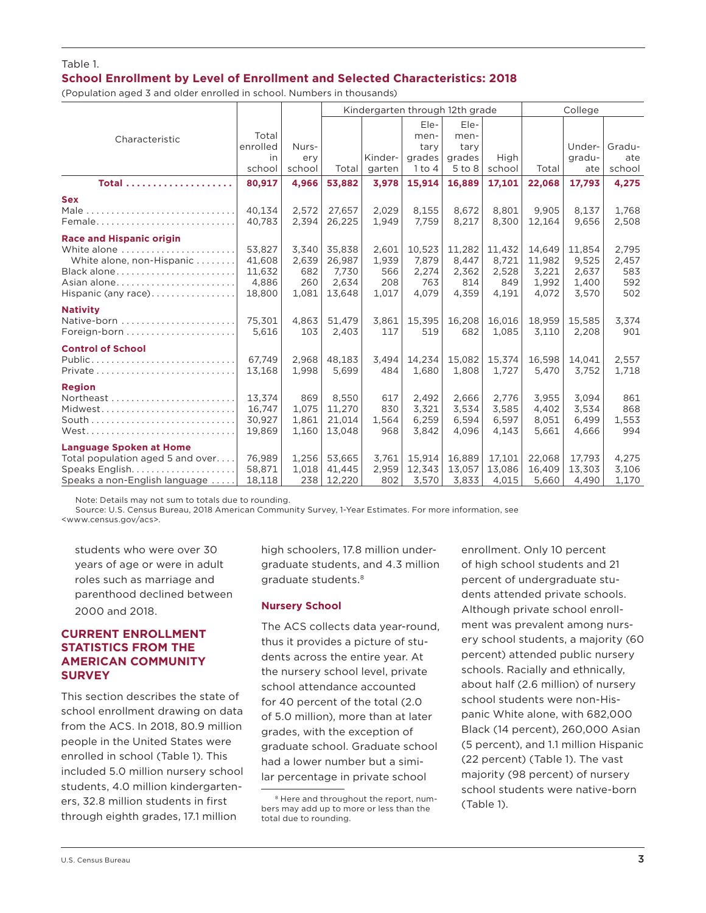#### Table 1. **School Enrollment by Level of Enrollment and Selected Characteristics: 2018**

(Population aged 3 and older enrolled in school. Numbers in thousands)

|                                  |          |        | Kindergarten through 12th grade |         |            |            | College |        |        |        |
|----------------------------------|----------|--------|---------------------------------|---------|------------|------------|---------|--------|--------|--------|
|                                  |          |        |                                 |         | Ele-       | Ele-       |         |        |        |        |
| Characteristic                   | Total    |        |                                 |         | men-       | men-       |         |        |        |        |
|                                  | enrolled | Nurs-  |                                 |         | tary       | tary       |         |        | Under- | Gradu- |
|                                  | in       | ery    |                                 | Kinder- | grades     | grades     | High    |        | gradu- | ate    |
|                                  | school   | school | Total                           | garten  | $1$ to $4$ | $5$ to $8$ | school  | Total  | ate    | school |
| Total                            | 80,917   | 4,966  | 53,882                          | 3,978   | 15,914     | 16,889     | 17,101  | 22,068 | 17,793 | 4,275  |
| <b>Sex</b>                       |          |        |                                 |         |            |            |         |        |        |        |
|                                  | 40,134   | 2,572  | 27,657                          | 2,029   | 8,155      | 8,672      | 8,801   | 9,905  | 8,137  | 1,768  |
| Female                           | 40.783   | 2.394  | 26,225                          | 1.949   | 7.759      | 8,217      | 8.300   | 12.164 | 9.656  | 2,508  |
| <b>Race and Hispanic origin</b>  |          |        |                                 |         |            |            |         |        |        |        |
| White alone                      | 53.827   | 3.340  | 35.838                          | 2.601   | 10.523     | 11,282     | 11,432  | 14.649 | 11,854 | 2,795  |
| White alone, non-Hispanic        | 41.608   | 2,639  | 26,987                          | 1,939   | 7.879      | 8,447      | 8,721   | 11,982 | 9,525  | 2,457  |
| Black alone                      | 11,632   | 682    | 7.730                           | 566     | 2,274      | 2,362      | 2,528   | 3,221  | 2,637  | 583    |
| Asian alone                      | 4,886    | 260    | 2.634                           | 208     | 763        | 814        | 849     | 1.992  | 1,400  | 592    |
| Hispanic (any race)              | 18,800   | 1,081  | 13,648                          | 1,017   | 4,079      | 4,359      | 4,191   | 4,072  | 3,570  | 502    |
| <b>Nativity</b>                  |          |        |                                 |         |            |            |         |        |        |        |
| Native-born                      | 75,301   | 4,863  | 51,479                          | 3,861   | 15,395     | 16,208     | 16,016  | 18,959 | 15,585 | 3,374  |
|                                  | 5.616    | 103    | 2,403                           | 117     | 519        | 682        | 1.085   | 3.110  | 2,208  | 901    |
| <b>Control of School</b>         |          |        |                                 |         |            |            |         |        |        |        |
| $Public$                         | 67.749   | 2.968  | 48.183                          | 3,494   | 14.234     | 15,082     | 15,374  | 16.598 | 14,041 | 2,557  |
|                                  | 13,168   | 1,998  | 5,699                           | 484     | 1,680      | 1,808      | 1,727   | 5,470  | 3,752  | 1,718  |
| <b>Region</b>                    |          |        |                                 |         |            |            |         |        |        |        |
|                                  | 13,374   | 869    | 8,550                           | 617     | 2,492      | 2,666      | 2,776   | 3,955  | 3,094  | 861    |
| Midwest                          | 16.747   | 1,075  | 11,270                          | 830     | 3,321      | 3.534      | 3,585   | 4.402  | 3,534  | 868    |
|                                  | 30,927   | 1,861  | 21,014                          | 1,564   | 6,259      | 6,594      | 6,597   | 8,051  | 6,499  | 1,553  |
| West                             | 19.869   | 1.160  | 13.048                          | 968     | 3.842      | 4.096      | 4.143   | 5.661  | 4.666  | 994    |
| <b>Language Spoken at Home</b>   |          |        |                                 |         |            |            |         |        |        |        |
| Total population aged 5 and over | 76.989   | 1.256  | 53.665                          | 3.761   | 15.914     | 16.889     | 17.101  | 22.068 | 17.793 | 4,275  |
|                                  | 58,871   | 1,018  | 41,445                          | 2,959   | 12,343     | 13,057     | 13,086  | 16,409 | 13,303 | 3,106  |
| Speaks a non-English language    | 18,118   | 238    | 12,220                          | 802     | 3,570      | 3,833      | 4,015   | 5,660  | 4,490  | 1,170  |

Note: Details may not sum to totals due to rounding.

Source: U.S. Census Bureau, 2018 American Community Survey, 1-Year Estimates. For more information, see <www.census.gov/acs>.

students who were over 30 years of age or were in adult roles such as marriage and parenthood declined between 2000 and 2018.

#### **CURRENT ENROLLMENT STATISTICS FROM THE AMERICAN COMMUNITY SURVEY**

This section describes the state of school enrollment drawing on data from the ACS. In 2018, 80.9 million people in the United States were enrolled in school (Table 1). This included 5.0 million nursery school students, 4.0 million kindergarteners, 32.8 million students in first through eighth grades, 17.1 million

high schoolers, 17.8 million undergraduate students, and 4.3 million graduate students.<sup>8</sup>

#### **Nursery School**

The ACS collects data year-round, thus it provides a picture of students across the entire year. At the nursery school level, private school attendance accounted for 40 percent of the total (2.0 of 5.0 million), more than at later grades, with the exception of graduate school. Graduate school had a lower number but a similar percentage in private school

enrollment. Only 10 percent of high school students and 21 percent of undergraduate students attended private schools. Although private school enrollment was prevalent among nursery school students, a majority (60 percent) attended public nursery schools. Racially and ethnically, about half (2.6 million) of nursery school students were non-Hispanic White alone, with 682,000 Black (14 percent), 260,000 Asian (5 percent), and 1.1 million Hispanic (22 percent) (Table 1). The vast majority (98 percent) of nursery school students were native-born (Table 1).

<sup>8</sup> Here and throughout the report, numbers may add up to more or less than the total due to rounding.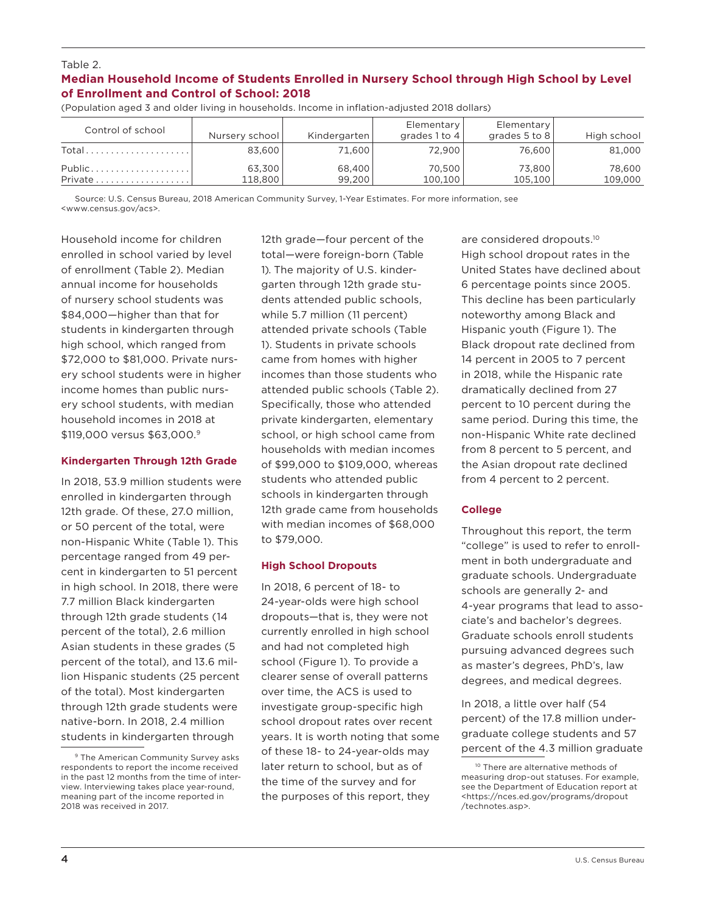#### Table 2. **Median Household Income of Students Enrolled in Nursery School through High School by Level of Enrollment and Control of School: 2018**

| Control of school                     | Nursery school | Kindergarten | Elementary<br>grades 1 to 4 | Elementary<br>grades 5 to 8 | High school |
|---------------------------------------|----------------|--------------|-----------------------------|-----------------------------|-------------|
| Total                                 | 83,600         | 71,600       | 72.900                      | 76,600                      | 81,000      |
| Public                                | 63,300         | 68,400       | 70.500                      | 73,800                      | 78,600      |
| Private $\ldots \ldots \ldots \ldots$ | 118,800        | 99.200       | 100,100                     | 105.100                     | 109,000     |

(Population aged 3 and older living in households. Income in inflation-adjusted 2018 dollars)

Source: U.S. Census Bureau, 2018 American Community Survey, 1-Year Estimates. For more information, see <www.census.gov/acs>.

Household income for children enrolled in school varied by level of enrollment (Table 2). Median annual income for households of nursery school students was \$84,000—higher than that for students in kindergarten through high school, which ranged from \$72,000 to \$81,000. Private nursery school students were in higher income homes than public nursery school students, with median household incomes in 2018 at \$119,000 versus \$63,000.9

#### **Kindergarten Through 12th Grade**

In 2018, 53.9 million students were enrolled in kindergarten through 12th grade. Of these, 27.0 million, or 50 percent of the total, were non-Hispanic White (Table 1). This percentage ranged from 49 percent in kindergarten to 51 percent in high school. In 2018, there were 7.7 million Black kindergarten through 12th grade students (14 percent of the total), 2.6 million Asian students in these grades (5 percent of the total), and 13.6 million Hispanic students (25 percent of the total). Most kindergarten through 12th grade students were native-born. In 2018, 2.4 million students in kindergarten through

12th grade—four percent of the total—were foreign-born (Table 1). The majority of U.S. kindergarten through 12th grade students attended public schools, while 5.7 million (11 percent) attended private schools (Table 1). Students in private schools came from homes with higher incomes than those students who attended public schools (Table 2). Specifically, those who attended private kindergarten, elementary school, or high school came from households with median incomes of \$99,000 to \$109,000, whereas students who attended public schools in kindergarten through 12th grade came from households with median incomes of \$68,000 to \$79,000.

#### **High School Dropouts**

In 2018, 6 percent of 18- to 24-year-olds were high school dropouts—that is, they were not currently enrolled in high school and had not completed high school (Figure 1). To provide a clearer sense of overall patterns over time, the ACS is used to investigate group-specific high school dropout rates over recent years. It is worth noting that some of these 18- to 24-year-olds may later return to school, but as of the time of the survey and for the purposes of this report, they

are considered dropouts.10 High school dropout rates in the United States have declined about 6 percentage points since 2005. This decline has been particularly noteworthy among Black and Hispanic youth (Figure 1). The Black dropout rate declined from 14 percent in 2005 to 7 percent in 2018, while the Hispanic rate dramatically declined from 27 percent to 10 percent during the same period. During this time, the non-Hispanic White rate declined from 8 percent to 5 percent, and the Asian dropout rate declined from 4 percent to 2 percent.

#### **College**

Throughout this report, the term "college" is used to refer to enrollment in both undergraduate and graduate schools. Undergraduate schools are generally 2- and 4-year programs that lead to associate's and bachelor's degrees. Graduate schools enroll students pursuing advanced degrees such as master's degrees, PhD's, law degrees, and medical degrees.

In 2018, a little over half (54 percent) of the 17.8 million undergraduate college students and 57 percent of the 4.3 million graduate

<sup>9</sup> The American Community Survey asks respondents to report the income received in the past 12 months from the time of interview. Interviewing takes place year-round, meaning part of the income reported in 2018 was received in 2017.

<sup>&</sup>lt;sup>10</sup> There are alternative methods of measuring drop-out statuses. For example, see the Department of Education report at <[https://nces.ed.gov/programs/dropout](https://nces.ed.gov/programs/dropout/technotes.asp) [/technotes.asp](https://nces.ed.gov/programs/dropout/technotes.asp)>.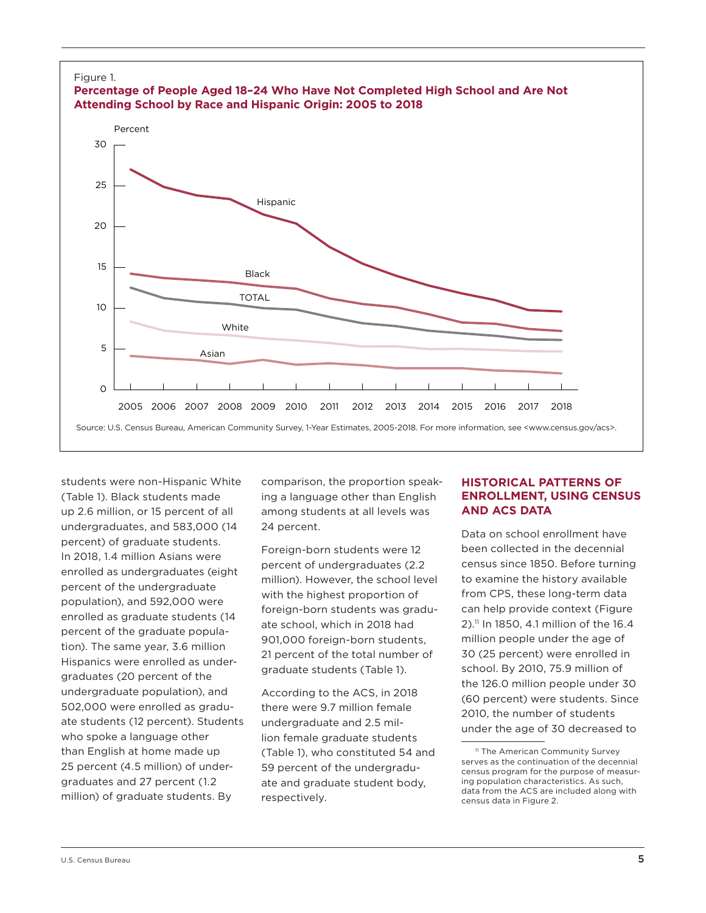

students were non-Hispanic White (Table 1). Black students made up 2.6 million, or 15 percent of all undergraduates, and 583,000 (14 percent) of graduate students. In 2018, 1.4 million Asians were enrolled as undergraduates (eight percent of the undergraduate population), and 592,000 were enrolled as graduate students (14 percent of the graduate population). The same year, 3.6 million Hispanics were enrolled as undergraduates (20 percent of the undergraduate population), and 502,000 were enrolled as graduate students (12 percent). Students who spoke a language other than English at home made up 25 percent (4.5 million) of undergraduates and 27 percent (1.2 million) of graduate students. By

comparison, the proportion speaking a language other than English among students at all levels was 24 percent.

Foreign-born students were 12 percent of undergraduates (2.2 million). However, the school level with the highest proportion of foreign-born students was graduate school, which in 2018 had 901,000 foreign-born students, 21 percent of the total number of graduate students (Table 1).

According to the ACS, in 2018 there were 9.7 million female undergraduate and 2.5 million female graduate students (Table 1), who constituted 54 and 59 percent of the undergraduate and graduate student body, respectively.

## **HISTORICAL PATTERNS OF ENROLLMENT, USING CENSUS AND ACS DATA**

Data on school enrollment have been collected in the decennial census since 1850. Before turning to examine the history available from CPS, these long-term data can help provide context (Figure 2).11 In 1850, 4.1 million of the 16.4 million people under the age of 30 (25 percent) were enrolled in school. By 2010, 75.9 million of the 126.0 million people under 30 (60 percent) were students. Since 2010, the number of students under the age of 30 decreased to

<sup>&</sup>lt;sup>11</sup> The American Community Survey serves as the continuation of the decennial census program for the purpose of measuring population characteristics. As such, data from the ACS are included along with census data in Figure 2.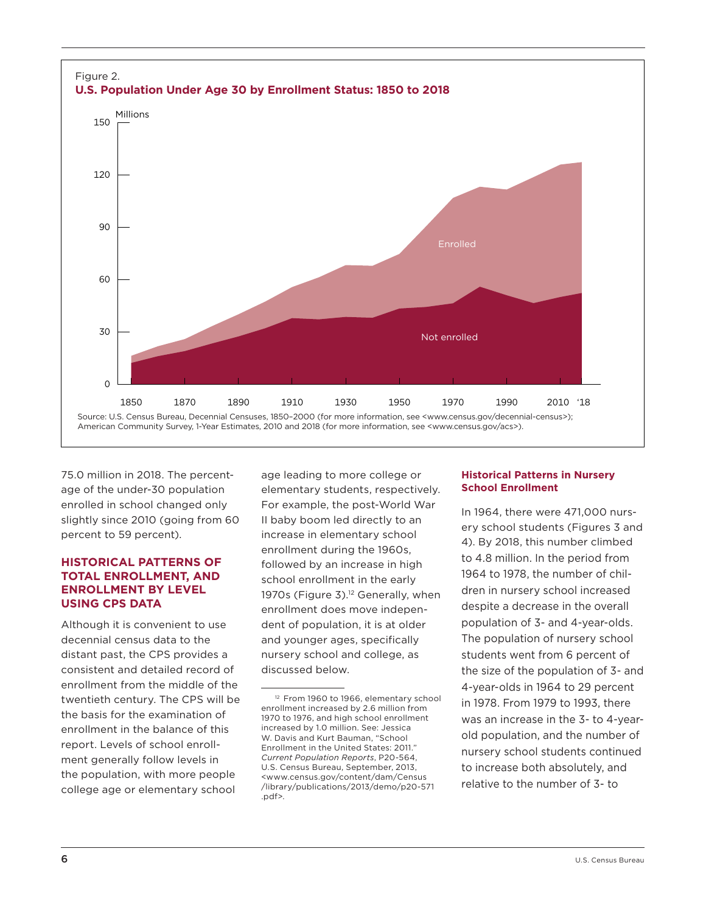

75.0 million in 2018. The percentage of the under-30 population enrolled in school changed only slightly since 2010 (going from 60 percent to 59 percent).

## **HISTORICAL PATTERNS OF TOTAL ENROLLMENT, AND ENROLLMENT BY LEVEL USING CPS DATA**

Although it is convenient to use decennial census data to the distant past, the CPS provides a consistent and detailed record of enrollment from the middle of the twentieth century. The CPS will be the basis for the examination of enrollment in the balance of this report. Levels of school enrollment generally follow levels in the population, with more people college age or elementary school

age leading to more college or elementary students, respectively. For example, the post-World War II baby boom led directly to an increase in elementary school enrollment during the 1960s, followed by an increase in high school enrollment in the early 1970s (Figure 3).<sup>12</sup> Generally, when enrollment does move independent of population, it is at older and younger ages, specifically nursery school and college, as discussed below.

#### **Historical Patterns in Nursery School Enrollment**

In 1964, there were 471,000 nursery school students (Figures 3 and 4). By 2018, this number climbed to 4.8 million. In the period from 1964 to 1978, the number of children in nursery school increased despite a decrease in the overall population of 3- and 4-year-olds. The population of nursery school students went from 6 percent of the size of the population of 3- and 4-year-olds in 1964 to 29 percent in 1978. From 1979 to 1993, there was an increase in the 3- to 4-yearold population, and the number of nursery school students continued to increase both absolutely, and relative to the number of 3- to

<sup>&</sup>lt;sup>12</sup> From 1960 to 1966, elementary school enrollment increased by 2.6 million from 1970 to 1976, and high school enrollment increased by 1.0 million. See: Jessica W. Davis and Kurt Bauman, "School Enrollment in the United States: 2011." *Current Population Reports*, P20-564, U.S. Census Bureau, September, 2013, [<www.census.gov/content/dam/Census](https://www.census.gov/content/dam/Census/library/publications/2013/demo/p20-571.pdf) [/library/publications/2013/demo/p20-571](https://www.census.gov/content/dam/Census/library/publications/2013/demo/p20-571.pdf) [.pdf>](https://www.census.gov/content/dam/Census/library/publications/2013/demo/p20-571.pdf).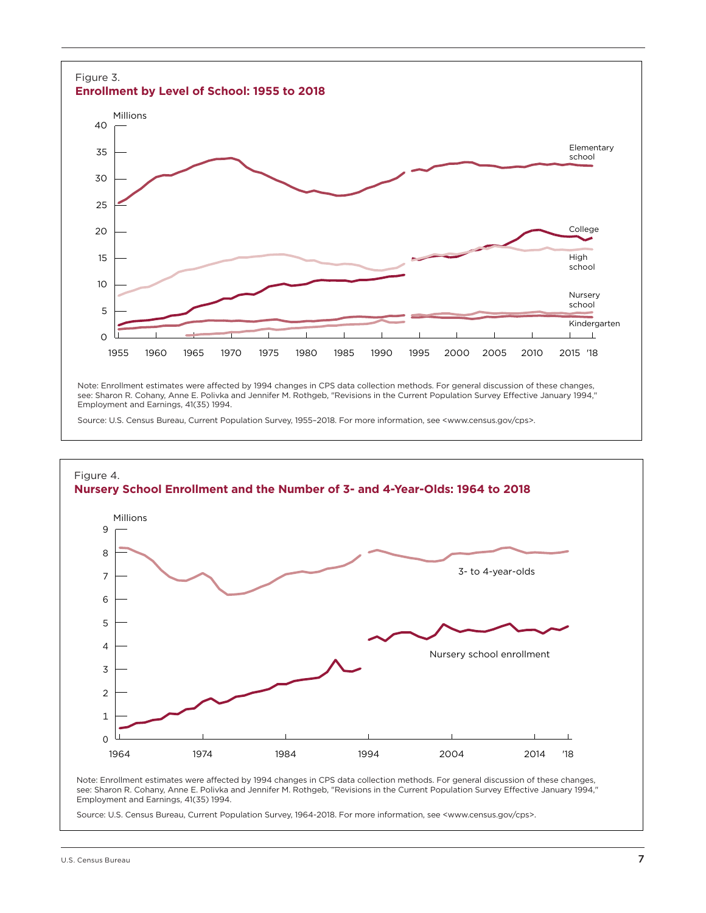

Note: Enrollment estimates were affected by 1994 changes in CPS data collection methods. For general discussion of these changes, see: Sharon R. Cohany, Anne E. Polivka and Jennifer M. Rothgeb, "Revisions in the Current Population Survey Effective January 1994," Employment and Earnings, 41(35) 1994.

Source: U.S. Census Bureau, Current Population Survey, 1955–2018. For more information, see <www.census.gov/cps>.



see: Sharon R. Cohany, Anne E. Polivka and Jennifer M. Rothgeb, "Revisions in the Current Population Survey Effective January 1994," Employment and Earnings, 41(35) 1994.

Source: U.S. Census Bureau, Current Population Survey, 1964-2018. For more information, see <www.census.gov/cps>.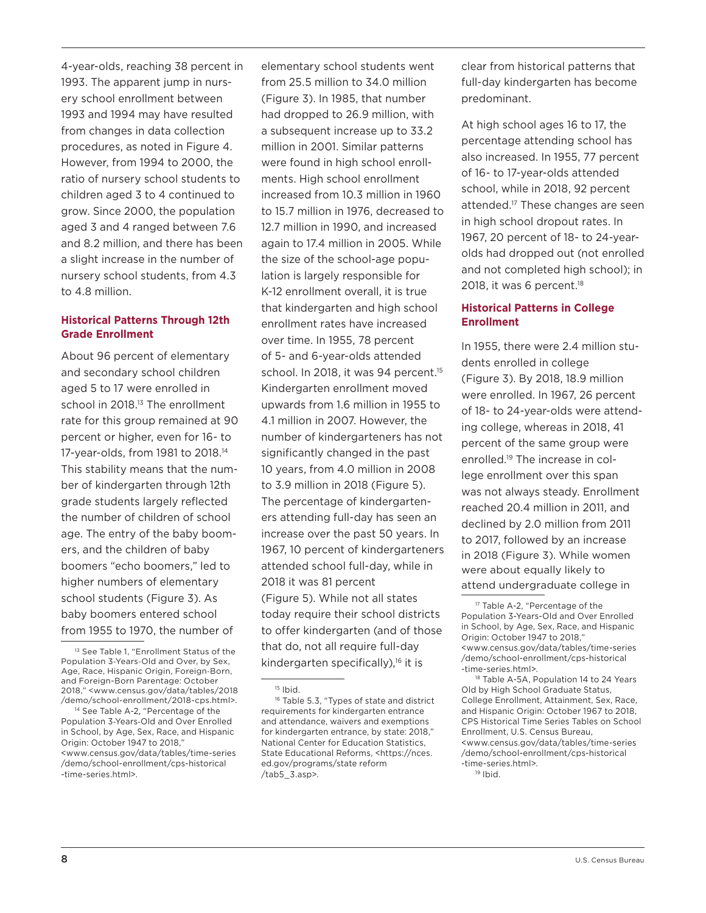4-year-olds, reaching 38 percent in 1993. The apparent jump in nursery school enrollment between 1993 and 1994 may have resulted from changes in data collection procedures, as noted in Figure 4. However, from 1994 to 2000, the ratio of nursery school students to children aged 3 to 4 continued to grow. Since 2000, the population aged 3 and 4 ranged between 7.6 and 8.2 million, and there has been a slight increase in the number of nursery school students, from 4.3 to 4.8 million.

## **Historical Patterns Through 12th Grade Enrollment**

About 96 percent of elementary and secondary school children aged 5 to 17 were enrolled in school in 2018.<sup>13</sup> The enrollment rate for this group remained at 90 percent or higher, even for 16- to 17-year-olds, from 1981 to 2018.14 This stability means that the number of kindergarten through 12th grade students largely reflected the number of children of school age. The entry of the baby boomers, and the children of baby boomers "echo boomers," led to higher numbers of elementary school students (Figure 3). As baby boomers entered school from 1955 to 1970, the number of

<sup>14</sup> See Table A-2, "Percentage of the Population 3-Years-Old and Over Enrolled in School, by Age, Sex, Race, and Hispanic Origin: October 1947 to 2018," <www.census.gov/data/tables/time-series /demo/school-enrollment/cps-historical -time-series.html>.

elementary school students went from 25.5 million to 34.0 million (Figure 3). In 1985, that number had dropped to 26.9 million, with a subsequent increase up to 33.2 million in 2001. Similar patterns were found in high school enrollments. High school enrollment increased from 10.3 million in 1960 to 15.7 million in 1976, decreased to 12.7 million in 1990, and increased again to 17.4 million in 2005. While the size of the school-age population is largely responsible for K-12 enrollment overall, it is true that kindergarten and high school enrollment rates have increased over time. In 1955, 78 percent of 5- and 6-year-olds attended school. In 2018, it was 94 percent.<sup>15</sup> Kindergarten enrollment moved upwards from 1.6 million in 1955 to 4.1 million in 2007. However, the number of kindergarteners has not significantly changed in the past 10 years, from 4.0 million in 2008 to 3.9 million in 2018 (Figure 5). The percentage of kindergarteners attending full-day has seen an increase over the past 50 years. In 1967, 10 percent of kindergarteners attended school full-day, while in 2018 it was 81 percent (Figure 5). While not all states today require their school districts to offer kindergarten (and of those that do, not all require full-day kindergarten specifically), $16$  it is

clear from historical patterns that full-day kindergarten has become predominant.

At high school ages 16 to 17, the percentage attending school has also increased. In 1955, 77 percent of 16- to 17-year-olds attended school, while in 2018, 92 percent attended.17 These changes are seen in high school dropout rates. In 1967, 20 percent of 18- to 24-yearolds had dropped out (not enrolled and not completed high school); in 2018, it was 6 percent.<sup>18</sup>

## **Historical Patterns in College Enrollment**

In 1955, there were 2.4 million students enrolled in college (Figure 3). By 2018, 18.9 million were enrolled. In 1967, 26 percent of 18- to 24-year-olds were attending college, whereas in 2018, 41 percent of the same group were enrolled.19 The increase in college enrollment over this span was not always steady. Enrollment reached 20.4 million in 2011, and declined by 2.0 million from 2011 to 2017, followed by an increase in 2018 (Figure 3). While women were about equally likely to attend undergraduate college in

<sup>&</sup>lt;sup>13</sup> See Table 1, "Enrollment Status of the Population 3-Years-Old and Over, by Sex, Age, Race, Hispanic Origin, Foreign-Born, and Foreign-Born Parentage: October 2018," <www.census.gov/data/tables/2018 /demo/school-enrollment/2018-cps.html>.

<sup>15</sup> Ibid.

<sup>&</sup>lt;sup>16</sup> Table 5.3, "Types of state and district requirements for kindergarten entrance and attendance, waivers and exemptions for kindergarten entrance, by state: 2018," National Center for Education Statistics, State Educational Reforms, <https://[nces.](https://nces.ed.gov/programs/statereform/tab5_3.asp) [ed.gov/programs/state reform](https://nces.ed.gov/programs/statereform/tab5_3.asp) [/tab5\\_3.asp>](https://nces.ed.gov/programs/statereform/tab5_3.asp).

<sup>17</sup> Table A-2, "Percentage of the Population 3-Years-Old and Over Enrolled in School, by Age, Sex, Race, and Hispanic Origin: October 1947 to 2018," <[www.census.gov/data/tables/time-series](http://www.census.gov/data/tables/time-series/demo/school-enrollment/cps-historical-time-series.html) [/demo/school-enrollment/cps-historical](http://www.census.gov/data/tables/time-series/demo/school-enrollment/cps-historical-time-series.html) [-time-series.html>](http://www.census.gov/data/tables/time-series/demo/school-enrollment/cps-historical-time-series.html).

<sup>&</sup>lt;sup>18</sup> Table A-5A, Population 14 to 24 Years [Old by High School Graduate Status,](https://www2.census.gov/programs-surveys/demo/tables/school-enrollment/time-series/cps-historical-time-series/tablea-5a.xlsx)  [College Enrollment, Attainment, Sex, Race,](https://www2.census.gov/programs-surveys/demo/tables/school-enrollment/time-series/cps-historical-time-series/tablea-5a.xlsx)  [and Hispanic Origin: October 1967 to 2](https://www2.census.gov/programs-surveys/demo/tables/school-enrollment/time-series/cps-historical-time-series/tablea-5a.xlsx)018, CPS Historical Time Series Tables on School Enrollment, U.S. Census Bureau, <[www.census.gov/data/tables/time-series](https://www.census.gov/data/tables/time-series/demo/school-enrollment/cps-historical-time-series.html) [/demo/school-enrollment/cps-historical](https://www.census.gov/data/tables/time-series/demo/school-enrollment/cps-historical-time-series.html) [-time-series.html>](https://www.census.gov/data/tables/time-series/demo/school-enrollment/cps-historical-time-series.html).

<sup>19</sup> Ibid.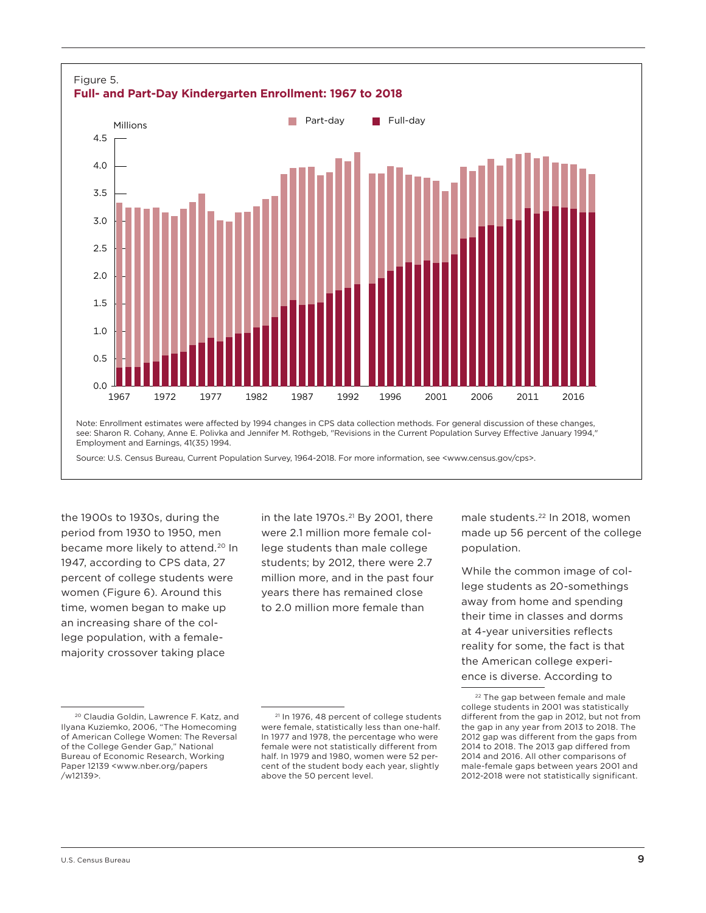

the 1900s to 1930s, during the period from 1930 to 1950, men became more likely to attend.<sup>20</sup> In 1947, according to CPS data, 27 percent of college students were women (Figure 6). Around this time, women began to make up an increasing share of the college population, with a femalemajority crossover taking place

in the late  $1970s$ .<sup>21</sup> By 2001, there were 2.1 million more female college students than male college students; by 2012, there were 2.7 million more, and in the past four years there has remained close to 2.0 million more female than

male students.<sup>22</sup> In 2018, women made up 56 percent of the college population.

While the common image of college students as 20-somethings away from home and spending their time in classes and dorms at 4-year universities reflects reality for some, the fact is that the American college experience is diverse. According to

<sup>20</sup> Claudia Goldin, Lawrence F. Katz, and Ilyana Kuziemko, 2006, "The Homecoming of American College Women: The Reversal of the College Gender Gap," National Bureau of Economic Research, Working Paper 12139 [<www.nber.org/papers](http://www.nber.org/papers/w12139) [/w12139](http://www.nber.org/papers/w12139)>.

<sup>&</sup>lt;sup>21</sup> In 1976, 48 percent of college students were female, statistically less than one-half. In 1977 and 1978, the percentage who were female were not statistically different from half. In 1979 and 1980, women were 52 percent of the student body each year, slightly above the 50 percent level.

<sup>&</sup>lt;sup>22</sup> The gap between female and male college students in 2001 was statistically different from the gap in 2012, but not from the gap in any year from 2013 to 2018. The 2012 gap was different from the gaps from 2014 to 2018. The 2013 gap differed from 2014 and 2016. All other comparisons of male-female gaps between years 2001 and 2012-2018 were not statistically significant.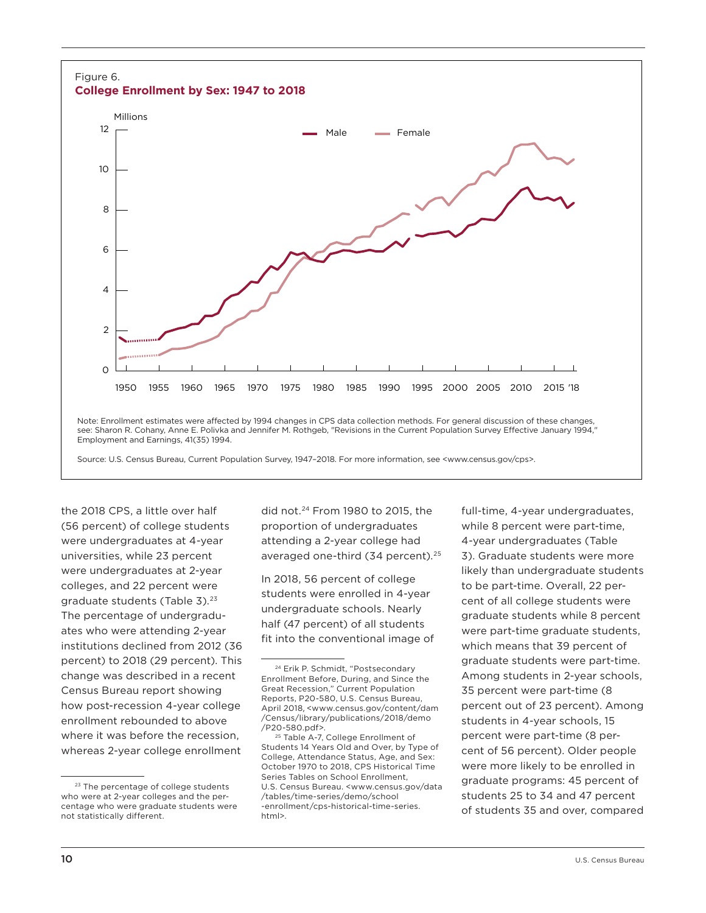

the 2018 CPS, a little over half (56 percent) of college students were undergraduates at 4-year universities, while 23 percent were undergraduates at 2-year colleges, and 22 percent were graduate students (Table 3).<sup>23</sup> The percentage of undergraduates who were attending 2-year institutions declined from 2012 (36 percent) to 2018 (29 percent). This change was described in a recent Census Bureau report showing how post-recession 4-year college enrollment rebounded to above where it was before the recession, whereas 2-year college enrollment

did not.24 From 1980 to 2015, the proportion of undergraduates attending a 2-year college had averaged one-third (34 percent).<sup>25</sup>

In 2018, 56 percent of college students were enrolled in 4-year undergraduate schools. Nearly half (47 percent) of all students fit into the conventional image of full-time, 4-year undergraduates, while 8 percent were part-time, 4-year undergraduates (Table 3). Graduate students were more likely than undergraduate students to be part-time. Overall, 22 percent of all college students were graduate students while 8 percent were part-time graduate students, which means that 39 percent of graduate students were part-time. Among students in 2-year schools, 35 percent were part-time (8 percent out of 23 percent). Among students in 4-year schools, 15 percent were part-time (8 percent of 56 percent). Older people were more likely to be enrolled in graduate programs: 45 percent of students 25 to 34 and 47 percent of students 35 and over, compared

<sup>&</sup>lt;sup>23</sup> The percentage of college students who were at 2-year colleges and the percentage who were graduate students were not statistically different.

<sup>24</sup> Erik P. Schmidt, "Postsecondary Enrollment Before, During, and Since the Great Recession," Current Population Reports, P20-580, U.S. Census Bureau, April 2018, <[www.census.gov/content/dam](https://www.census.gov/content/dam/Census/library/publications/2018/demo/P20-580.pdf) [/Census/library/publications/2018/demo](https://www.census.gov/content/dam/Census/library/publications/2018/demo/P20-580.pdf) [/P20-580.pdf>](https://www.census.gov/content/dam/Census/library/publications/2018/demo/P20-580.pdf).

<sup>&</sup>lt;sup>25</sup> Table A-7, College Enrollment of Students 14 Years Old and Over, by Type of College, Attendance Status, Age, and Sex: October 1970 to 2018, CPS Historical Time Series Tables on School Enrollment, U.S. Census Bureau. <[www.census.gov/data](https://www.census.gov/data/tables/time-series/demo/school-enrollment/cps-historical-time-series.html) [/tables/time-series/demo/school](https://www.census.gov/data/tables/time-series/demo/school-enrollment/cps-historical-time-series.html) [-enrollment/cps-historical-time-series.](https://www.census.gov/data/tables/time-series/demo/school-enrollment/cps-historical-time-series.html) [html>](https://www.census.gov/data/tables/time-series/demo/school-enrollment/cps-historical-time-series.html).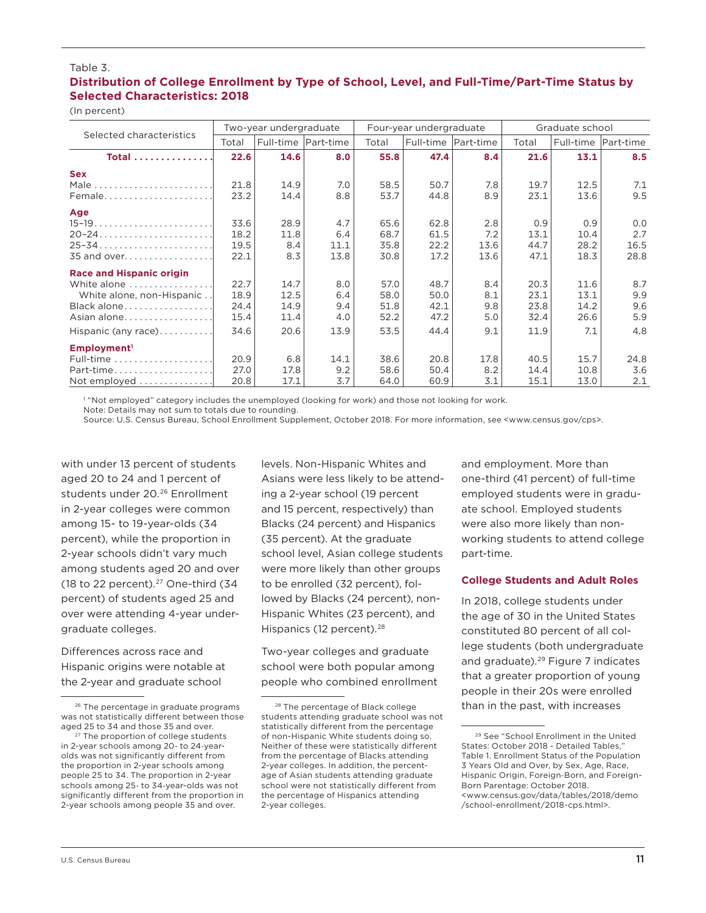#### Table 3.

## **Distribution of College Enrollment by Type of School, Level, and Full-Time/Part-Time Status by Selected Characteristics: 2018**

(In percent)

| Selected characteristics  | Two-year undergraduate |                       |      |       | Four-year undergraduate |      | Graduate school |           |           |
|---------------------------|------------------------|-----------------------|------|-------|-------------------------|------|-----------------|-----------|-----------|
|                           | Total                  | Full-time   Part-time |      | Total | Full-time Part-time     |      | Total           | Full-time | Part-time |
| <b>Total</b>              | 22.6                   | 14.6                  | 8.0  | 55.8  | 47.4                    | 8.4  | 21.6            | 13.1      | 8.5       |
| <b>Sex</b>                |                        |                       |      |       |                         |      |                 |           |           |
|                           | 21.8                   | 14.9                  | 7.0  | 58.5  | 50.7                    | 7.8  | 19.7            | 12.5      | 7.1       |
| Female                    | 23.2                   | 14.4                  | 8.8  | 53.7  | 44.8                    | 8.9  | 23.1            | 13.6      | 9.5       |
| Age                       |                        |                       |      |       |                         |      |                 |           |           |
|                           | 33.6                   | 28.9                  | 4.7  | 65.6  | 62.8                    | 2.8  | 0.9             | 0.9       | 0.0       |
|                           | 18.2                   | 11.8                  | 6.4  | 68.7  | 61.5                    | 7.2  | 13.1            | 10.4      | 2.7       |
|                           | 19.5                   | 8.4                   | 11.1 | 35.8  | 22.2                    | 13.6 | 44.7            | 28.2      | 16.5      |
|                           | 22.1                   | 8.3                   | 13.8 | 30.8  | 17.2                    | 13.6 | 47.1            | 18.3      | 28.8      |
| Race and Hispanic origin  |                        |                       |      |       |                         |      |                 |           |           |
| White alone               | 22.7                   | 14.7                  | 8.0  | 57.0  | 48.7                    | 8.4  | 20.3            | 11.6      | 8.7       |
| White alone, non-Hispanic | 18.9                   | 12.5                  | 6.4  | 58.0  | 50.0                    | 8.1  | 23.1            | 13.1      | 9.9       |
| Black alone               | 24.4                   | 14.9                  | 9.4  | 51.8  | 42.1                    | 9.8  | 23.8            | 14.2      | 9.6       |
| Asian alone               | 15.4                   | 11.4                  | 4.0  | 52.2  | 47.2                    | 5.0  | 32.4            | 26.6      | 5.9       |
| Hispanic (any race)       | 34.6                   | 20.6                  | 13.9 | 53.5  | 44.4                    | 9.1  | 11.9            | 7.1       | 4.8       |
| Employment <sup>1</sup>   |                        |                       |      |       |                         |      |                 |           |           |
|                           | 20.9                   | 6.8                   | 14.1 | 38.6  | 20.8                    | 17.8 | 40.5            | 15.7      | 24.8      |
| Part-time                 | 27.0                   | 17.8                  | 9.2  | 58.6  | 50.4                    | 8.2  | 14.4            | 10.8      | 3.6       |
| Not employed              | 20.8                   | 17.1                  | 3.7  | 64.0  | 60.9                    | 3.1  | 15.1            | 13.0      | 2.1       |

1 "Not employed" category includes the unemployed (looking for work) and those not looking for work. Note: Details may not sum to totals due to rounding.

Source: U.S. Census Bureau, School Enrollment Supplement, October 2018. For more information, see <www.census.gov/cps>.

with under 13 percent of students aged 20 to 24 and 1 percent of students under 20.<sup>26</sup> Enrollment in 2-year colleges were common among 15- to 19-year-olds (34 percent), while the proportion in 2-year schools didn't vary much among students aged 20 and over (18 to 22 percent). $27$  One-third (34 percent) of students aged 25 and over were attending 4-year undergraduate colleges.

Differences across race and Hispanic origins were notable at the 2-year and graduate school

levels. Non-Hispanic Whites and Asians were less likely to be attending a 2-year school (19 percent and 15 percent, respectively) than Blacks (24 percent) and Hispanics (35 percent). At the graduate school level, Asian college students were more likely than other groups to be enrolled (32 percent), followed by Blacks (24 percent), non-Hispanic Whites (23 percent), and Hispanics (12 percent).<sup>28</sup>

Two-year colleges and graduate school were both popular among people who combined enrollment and employment. More than one-third (41 percent) of full-time employed students were in graduate school. Employed students were also more likely than nonworking students to attend college part-time.

#### **College Students and Adult Roles**

In 2018, college students under the age of 30 in the United States constituted 80 percent of all college students (both undergraduate and graduate).29 Figure 7 indicates that a greater proportion of young people in their 20s were enrolled than in the past, with increases

<sup>26</sup> The percentage in graduate programs was not statistically different between those aged 25 to 34 and those 35 and over.

<sup>&</sup>lt;sup>27</sup> The proportion of college students in 2-year schools among 20- to 24-yearolds was not significantly different from the proportion in 2-year schools among people 25 to 34. The proportion in 2-year schools among 25- to 34-year-olds was not significantly different from the proportion in 2-year schools among people 35 and over.

<sup>28</sup> The percentage of Black college students attending graduate school was not statistically different from the percentage of non-Hispanic White students doing so. Neither of these were statistically different from the percentage of Blacks attending 2-year colleges. In addition, the percentage of Asian students attending graduate school were not statistically different from the percentage of Hispanics attending 2-year colleges.

<sup>29</sup> See "School Enrollment in the United States: October 2018 - Detailed Tables," Table 1. Enrollment Status of the Population 3 Years Old and Over, by Sex, Age, Race, Hispanic Origin, Foreign-Born, and Foreign-Born Parentage: October 2018. <[www.census.gov/data/tables/2018/demo](https://www.census.gov/data/tables/2018/demo/school-enrollment/2018-cps.html) [/school-enrollment/2018-cps.html](https://www.census.gov/data/tables/2018/demo/school-enrollment/2018-cps.html)>.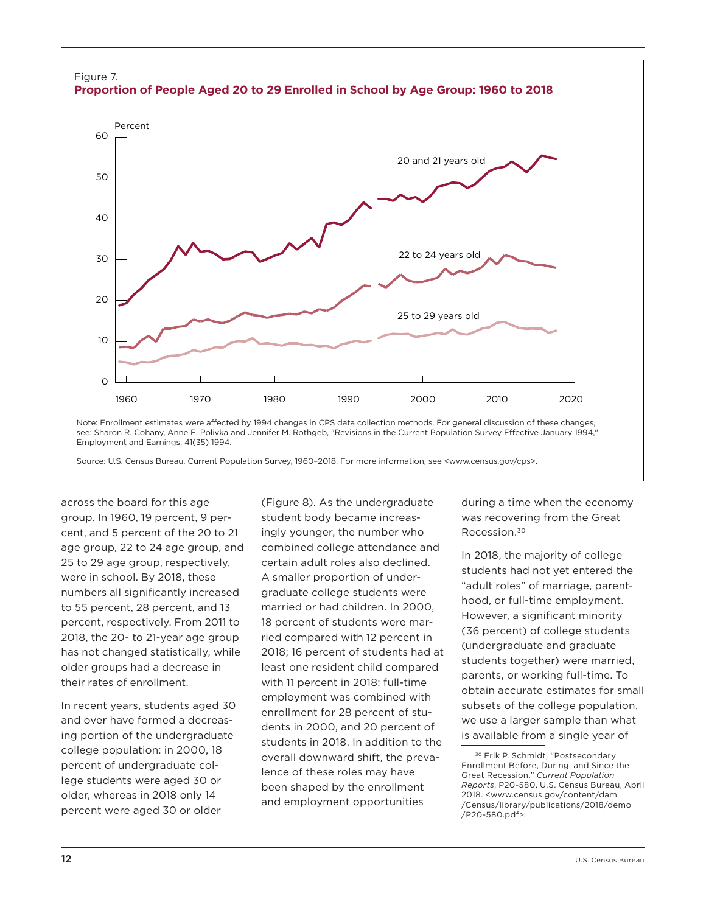

across the board for this age group. In 1960, 19 percent, 9 percent, and 5 percent of the 20 to 21 age group, 22 to 24 age group, and 25 to 29 age group, respectively, were in school. By 2018, these numbers all significantly increased to 55 percent, 28 percent, and 13 percent, respectively. From 2011 to 2018, the 20- to 21-year age group has not changed statistically, while older groups had a decrease in their rates of enrollment.

In recent years, students aged 30 and over have formed a decreasing portion of the undergraduate college population: in 2000, 18 percent of undergraduate college students were aged 30 or older, whereas in 2018 only 14 percent were aged 30 or older

(Figure 8). As the undergraduate student body became increasingly younger, the number who combined college attendance and certain adult roles also declined. A smaller proportion of undergraduate college students were married or had children. In 2000, 18 percent of students were married compared with 12 percent in 2018; 16 percent of students had at least one resident child compared with 11 percent in 2018; full-time employment was combined with enrollment for 28 percent of students in 2000, and 20 percent of students in 2018. In addition to the overall downward shift, the prevalence of these roles may have been shaped by the enrollment and employment opportunities

during a time when the economy was recovering from the Great Recession.30

In 2018, the majority of college students had not yet entered the "adult roles" of marriage, parenthood, or full-time employment. However, a significant minority (36 percent) of college students (undergraduate and graduate students together) were married, parents, or working full-time. To obtain accurate estimates for small subsets of the college population, we use a larger sample than what is available from a single year of

<sup>&</sup>lt;sup>30</sup> Erik P. Schmidt, "Postsecondary Enrollment Before, During, and Since the Great Recession." *Current Population Reports*, P20-580, U.S. Census Bureau, April 2018. <[www.census.gov/content/dam](https://www.census.gov/content/dam/Census/library/publications/2018/demo/P20-580.pdf) [/Census/library/publications/2018/demo](https://www.census.gov/content/dam/Census/library/publications/2018/demo/P20-580.pdf) [/P20-580.pdf](https://www.census.gov/content/dam/Census/library/publications/2018/demo/P20-580.pdf)>.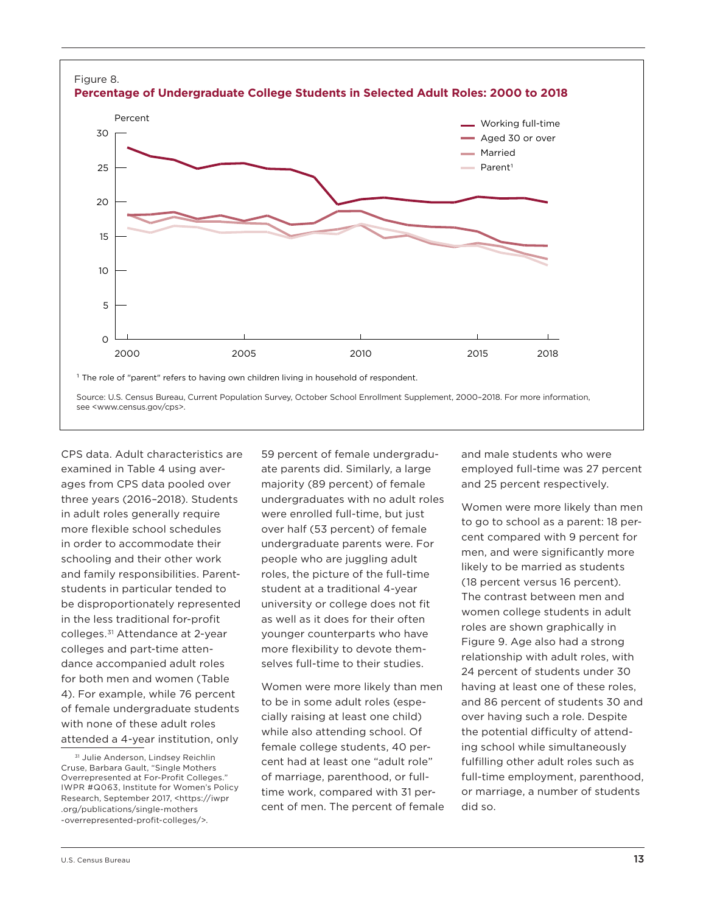

see <www.census.gov/cps>.

CPS data. Adult characteristics are examined in Table 4 using averages from CPS data pooled over three years (2016–2018). Students in adult roles generally require more flexible school schedules in order to accommodate their schooling and their other work and family responsibilities. Parentstudents in particular tended to be disproportionately represented in the less traditional for-profit colleges.31 Attendance at 2-year colleges and part-time attendance accompanied adult roles for both men and women (Table 4). For example, while 76 percent of female undergraduate students with none of these adult roles attended a 4-year institution, only

59 percent of female undergraduate parents did. Similarly, a large majority (89 percent) of female undergraduates with no adult roles were enrolled full-time, but just over half (53 percent) of female undergraduate parents were. For people who are juggling adult roles, the picture of the full-time student at a traditional 4-year university or college does not fit as well as it does for their often younger counterparts who have more flexibility to devote themselves full-time to their studies.

Women were more likely than men to be in some adult roles (especially raising at least one child) while also attending school. Of female college students, 40 percent had at least one "adult role" of marriage, parenthood, or fulltime work, compared with 31 percent of men. The percent of female and male students who were employed full-time was 27 percent and 25 percent respectively.

Women were more likely than men to go to school as a parent: 18 percent compared with 9 percent for men, and were significantly more likely to be married as students (18 percent versus 16 percent). The contrast between men and women college students in adult roles are shown graphically in Figure 9. Age also had a strong relationship with adult roles, with 24 percent of students under 30 having at least one of these roles, and 86 percent of students 30 and over having such a role. Despite the potential difficulty of attending school while simultaneously fulfilling other adult roles such as full-time employment, parenthood, or marriage, a number of students did so.

<sup>31</sup> Julie Anderson, Lindsey Reichlin Cruse, Barbara Gault, "Single Mothers Overrepresented at For-Profit Colleges." IWPR #Q063, Institute for Women's Policy Research, September 2017, <https://[iwpr](https://iwpr.org/publications/single-mothers-overrepresented-profit-colleges/) [.org/publications/single-mothers](https://iwpr.org/publications/single-mothers-overrepresented-profit-colleges/) [-overrepresented-profit-colleges/](https://iwpr.org/publications/single-mothers-overrepresented-profit-colleges/)>.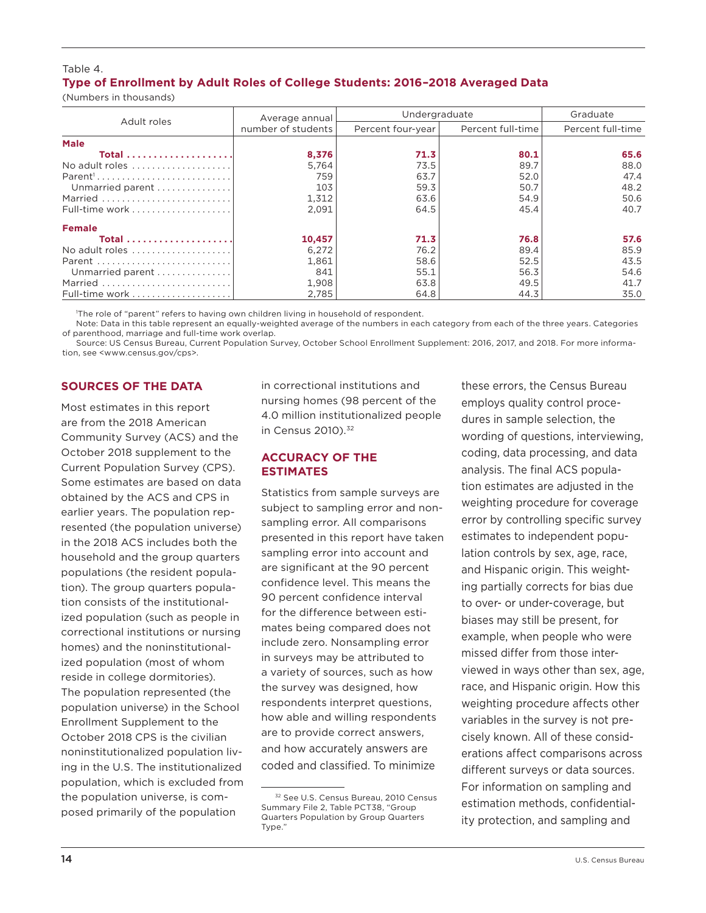## Table 4. **Type of Enrollment by Adult Roles of College Students: 2016–2018 Averaged Data**

(Numbers in thousands)

|                  | Average annual     | Undergraduate     | Graduate          |                   |  |
|------------------|--------------------|-------------------|-------------------|-------------------|--|
| Adult roles      | number of students | Percent four-year | Percent full-time | Percent full-time |  |
| <b>Male</b>      |                    |                   |                   |                   |  |
|                  | 8,376              | 71.3              | 80.1              | 65.6              |  |
| No adult roles   | 5.764              | 73.5              | 89.7              | 88.0              |  |
|                  | 759                | 63.7              | 52.0              | 47.4              |  |
| Unmarried parent | 103                | 59.3              | 50.7              | 48.2              |  |
| Married          | 1,312              | 63.6              | 54.9              | 50.6              |  |
| Full-time work   | 2.091              | 64.5              | 45.4              | 40.7              |  |
| <b>Female</b>    |                    |                   |                   |                   |  |
|                  | 10,457             | 71.3              | 76.8              | 57.6              |  |
| No adult roles   | 6.272              | 76.2              | 89.4              | 85.9              |  |
| Parent           | 1,861              | 58.6              | 52.5              | 43.5              |  |
| Unmarried parent | 841                | 55.1              | 56.3              | 54.6              |  |
| Married          | 1,908              | 63.8              | 49.5              | 41.7              |  |
| Full-time work   | 2,785              | 64.8              | 44.3              | 35.0              |  |

1 The role of "parent" refers to having own children living in household of respondent.

Note: Data in this table represent an equally-weighted average of the numbers in each category from each of the three years. Categories of parenthood, marriage and full-time work overlap.

Source: US Census Bureau, Current Population Survey, October School Enrollment Supplement: 2016, 2017, and 2018. For more information, see <www.census.gov/cps>.

## **SOURCES OF THE DATA**

Most estimates in this report are from the 2018 American Community Survey (ACS) and the October 2018 supplement to the Current Population Survey (CPS). Some estimates are based on data obtained by the ACS and CPS in earlier years. The population represented (the population universe) in the 2018 ACS includes both the household and the group quarters populations (the resident population). The group quarters population consists of the institutionalized population (such as people in correctional institutions or nursing homes) and the noninstitutionalized population (most of whom reside in college dormitories). The population represented (the population universe) in the School Enrollment Supplement to the October 2018 CPS is the civilian noninstitutionalized population living in the U.S. The institutionalized population, which is excluded from the population universe, is composed primarily of the population

in correctional institutions and nursing homes (98 percent of the 4.0 million institutionalized people in Census 2010).<sup>32</sup>

## **ACCURACY OF THE ESTIMATES**

Statistics from sample surveys are subject to sampling error and nonsampling error. All comparisons presented in this report have taken sampling error into account and are significant at the 90 percent confidence level. This means the 90 percent confidence interval for the difference between estimates being compared does not include zero. Nonsampling error in surveys may be attributed to a variety of sources, such as how the survey was designed, how respondents interpret questions, how able and willing respondents are to provide correct answers, and how accurately answers are coded and classified. To minimize

these errors, the Census Bureau employs quality control procedures in sample selection, the wording of questions, interviewing, coding, data processing, and data analysis. The final ACS population estimates are adjusted in the weighting procedure for coverage error by controlling specific survey estimates to independent population controls by sex, age, race, and Hispanic origin. This weighting partially corrects for bias due to over- or under-coverage, but biases may still be present, for example, when people who were missed differ from those interviewed in ways other than sex, age, race, and Hispanic origin. How this weighting procedure affects other variables in the survey is not precisely known. All of these considerations affect comparisons across different surveys or data sources. For information on sampling and estimation methods, confidentiality protection, and sampling and

<sup>32</sup> See U.S. Census Bureau, 2010 Census Summary File 2, Table PCT38, "Group Quarters Population by Group Quarters Type."